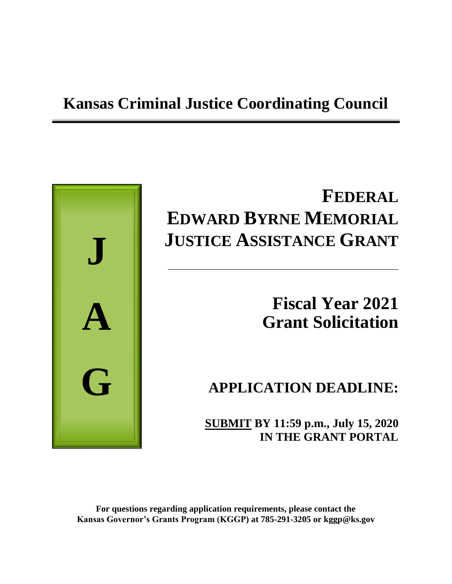## **Kansas Criminal Justice Coordinating Council**



# **FEDERAL EDWARD BYRNE MEMORIAL JUSTICE ASSISTANCE GRANT**

\_\_\_\_\_\_\_\_\_\_\_\_\_\_\_\_\_\_\_\_\_\_\_\_\_\_\_\_\_\_\_\_\_\_\_\_\_\_\_\_\_\_\_\_\_\_\_\_\_\_\_\_

# **Fiscal Year 2021 Grant Solicitation**

## **APPLICATION DEADLINE:**

**SUBMIT BY 11:59 p.m., July 15, 2020 IN THE GRANT PORTAL**

**For questions regarding application requirements, please contact the Kansas Governor's Grants Program (KGGP) at 785-291-3205 or kggp@ks.gov**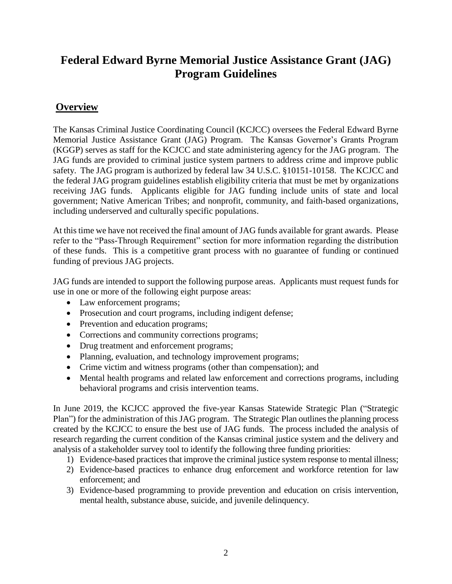## **Federal Edward Byrne Memorial Justice Assistance Grant (JAG) Program Guidelines**

## **Overview**

The Kansas Criminal Justice Coordinating Council (KCJCC) oversees the Federal Edward Byrne Memorial Justice Assistance Grant (JAG) Program. The Kansas Governor's Grants Program (KGGP) serves as staff for the KCJCC and state administering agency for the JAG program. The JAG funds are provided to criminal justice system partners to address crime and improve public safety. The JAG program is authorized by federal law 34 U.S.C. §10151-10158. The KCJCC and the federal JAG program guidelines establish eligibility criteria that must be met by organizations receiving JAG funds. Applicants eligible for JAG funding include units of state and local government; Native American Tribes; and nonprofit, community, and faith-based organizations, including underserved and culturally specific populations.

At this time we have not received the final amount of JAG funds available for grant awards. Please refer to the "Pass-Through Requirement" section for more information regarding the distribution of these funds. This is a competitive grant process with no guarantee of funding or continued funding of previous JAG projects.

JAG funds are intended to support the following purpose areas. Applicants must request funds for use in one or more of the following eight purpose areas:

- Law enforcement programs;
- Prosecution and court programs, including indigent defense;
- Prevention and education programs;
- Corrections and community corrections programs;
- Drug treatment and enforcement programs;
- Planning, evaluation, and technology improvement programs;
- Crime victim and witness programs (other than compensation); and
- Mental health programs and related law enforcement and corrections programs, including behavioral programs and crisis intervention teams.

In June 2019, the KCJCC approved the five-year Kansas Statewide Strategic Plan ("Strategic Plan") for the administration of this JAG program. The Strategic Plan outlines the planning process created by the KCJCC to ensure the best use of JAG funds. The process included the analysis of research regarding the current condition of the Kansas criminal justice system and the delivery and analysis of a stakeholder survey tool to identify the following three funding priorities:

- 1) Evidence-based practices that improve the criminal justice system response to mental illness;
- 2) Evidence-based practices to enhance drug enforcement and workforce retention for law enforcement; and
- 3) Evidence-based programming to provide prevention and education on crisis intervention, mental health, substance abuse, suicide, and juvenile delinquency.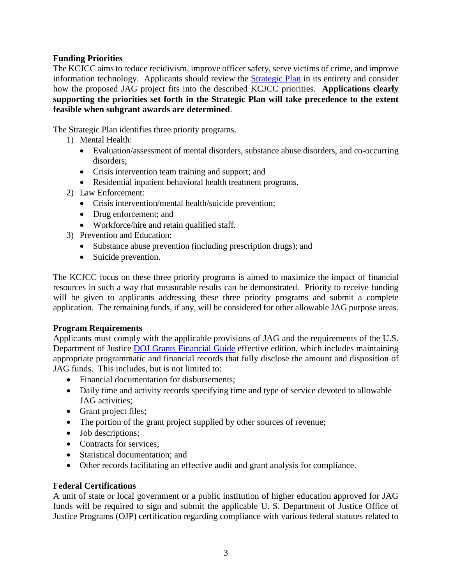#### **Funding Priorities**

The KCJCC aims to reduce recidivism, improve officer safety, serve victims of crime, and improve information technology. Applicants should review the [Strategic Plan](http://www.grants.ks.gov/opportunities/edward-j-byrne-memorial-justice-assistance-grant-(jag)) in its entirety and consider how the proposed JAG project fits into the described KCJCC priorities. **Applications clearly supporting the priorities set forth in the Strategic Plan will take precedence to the extent feasible when subgrant awards are determined**.

The Strategic Plan identifies three priority programs.

- 1) Mental Health:
	- Evaluation/assessment of mental disorders, substance abuse disorders, and co-occurring disorders;
	- Crisis intervention team training and support; and
	- Residential inpatient behavioral health treatment programs.
- 2) Law Enforcement:
	- Crisis intervention/mental health/suicide prevention;
	- Drug enforcement; and
	- Workforce/hire and retain qualified staff.
- 3) Prevention and Education:
	- Substance abuse prevention (including prescription drugs); and
	- Suicide prevention.

The KCJCC focus on these three priority programs is aimed to maximize the impact of financial resources in such a way that measurable results can be demonstrated. Priority to receive funding will be given to applicants addressing these three priority programs and submit a complete application. The remaining funds, if any, will be considered for other allowable JAG purpose areas.

#### **Program Requirements**

Applicants must comply with the applicable provisions of JAG and the requirements of the U.S. Department of Justice [DOJ Grants Financial Guide](http://ojp.gov/financialguide/DOJ/index.htm) effective edition, which includes maintaining appropriate programmatic and financial records that fully disclose the amount and disposition of JAG funds. This includes, but is not limited to:

- Financial documentation for disbursements;
- Daily time and activity records specifying time and type of service devoted to allowable JAG activities;
- Grant project files;
- The portion of the grant project supplied by other sources of revenue;
- Job descriptions;
- Contracts for services:
- Statistical documentation; and
- Other records facilitating an effective audit and grant analysis for compliance.

#### **Federal Certifications**

A unit of state or local government or a public institution of higher education approved for JAG funds will be required to sign and submit the applicable U. S. Department of Justice Office of Justice Programs (OJP) certification regarding compliance with various federal statutes related to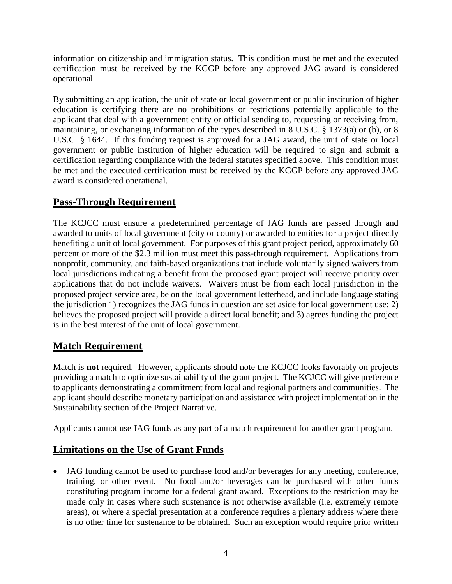information on citizenship and immigration status. This condition must be met and the executed certification must be received by the KGGP before any approved JAG award is considered operational.

By submitting an application, the unit of state or local government or public institution of higher education is certifying there are no prohibitions or restrictions potentially applicable to the applicant that deal with a government entity or official sending to, requesting or receiving from, maintaining, or exchanging information of the types described in 8 U.S.C. § 1373(a) or (b), or 8 U.S.C. § 1644. If this funding request is approved for a JAG award, the unit of state or local government or public institution of higher education will be required to sign and submit a certification regarding compliance with the federal statutes specified above. This condition must be met and the executed certification must be received by the KGGP before any approved JAG award is considered operational.

## **Pass-Through Requirement**

The KCJCC must ensure a predetermined percentage of JAG funds are passed through and awarded to units of local government (city or county) or awarded to entities for a project directly benefiting a unit of local government. For purposes of this grant project period, approximately 60 percent or more of the \$2.3 million must meet this pass-through requirement. Applications from nonprofit, community, and faith-based organizations that include voluntarily signed waivers from local jurisdictions indicating a benefit from the proposed grant project will receive priority over applications that do not include waivers. Waivers must be from each local jurisdiction in the proposed project service area, be on the local government letterhead, and include language stating the jurisdiction 1) recognizes the JAG funds in question are set aside for local government use; 2) believes the proposed project will provide a direct local benefit; and 3) agrees funding the project is in the best interest of the unit of local government.

## **Match Requirement**

Match is **not** required. However, applicants should note the KCJCC looks favorably on projects providing a match to optimize sustainability of the grant project. The KCJCC will give preference to applicants demonstrating a commitment from local and regional partners and communities. The applicant should describe monetary participation and assistance with project implementation in the Sustainability section of the Project Narrative.

Applicants cannot use JAG funds as any part of a match requirement for another grant program.

## **Limitations on the Use of Grant Funds**

• JAG funding cannot be used to purchase food and/or beverages for any meeting, conference, training, or other event. No food and/or beverages can be purchased with other funds constituting program income for a federal grant award. Exceptions to the restriction may be made only in cases where such sustenance is not otherwise available (i.e. extremely remote areas), or where a special presentation at a conference requires a plenary address where there is no other time for sustenance to be obtained. Such an exception would require prior written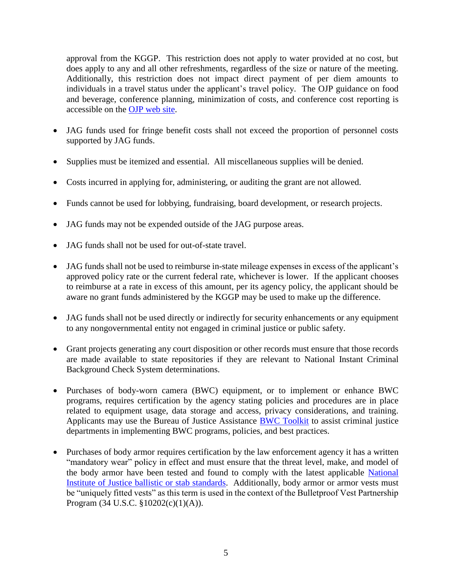approval from the KGGP. This restriction does not apply to water provided at no cost, but does apply to any and all other refreshments, regardless of the size or nature of the meeting. Additionally, this restriction does not impact direct payment of per diem amounts to individuals in a travel status under the applicant's travel policy. The OJP guidance on food and beverage, conference planning, minimization of costs, and conference cost reporting is accessible on the [OJP web site.](http://ojp.gov/financialguide/DOJ/index.htm)

- JAG funds used for fringe benefit costs shall not exceed the proportion of personnel costs supported by JAG funds.
- Supplies must be itemized and essential. All miscellaneous supplies will be denied.
- Costs incurred in applying for, administering, or auditing the grant are not allowed.
- Funds cannot be used for lobbying, fundraising, board development, or research projects.
- JAG funds may not be expended outside of the JAG purpose areas.
- JAG funds shall not be used for out-of-state travel.
- JAG funds shall not be used to reimburse in-state mileage expenses in excess of the applicant's approved policy rate or the current federal rate, whichever is lower. If the applicant chooses to reimburse at a rate in excess of this amount, per its agency policy, the applicant should be aware no grant funds administered by the KGGP may be used to make up the difference.
- JAG funds shall not be used directly or indirectly for security enhancements or any equipment to any nongovernmental entity not engaged in criminal justice or public safety.
- Grant projects generating any court disposition or other records must ensure that those records are made available to state repositories if they are relevant to National Instant Criminal Background Check System determinations.
- Purchases of body-worn camera (BWC) equipment, or to implement or enhance BWC programs, requires certification by the agency stating policies and procedures are in place related to equipment usage, data storage and access, privacy considerations, and training. Applicants may use the Bureau of Justice Assistance [BWC Toolkit](https://www.bja.gov/bwc) to assist criminal justice departments in implementing BWC programs, policies, and best practices.
- Purchases of body armor requires certification by the law enforcement agency it has a written "mandatory wear" policy in effect and must ensure that the threat level, make, and model of the body armor have been tested and found to comply with the latest applicable [National](https://www.nij.gov/topics/technology/body-armor/Pages/standards.aspx)  [Institute of Justice ballistic or stab standards.](https://www.nij.gov/topics/technology/body-armor/Pages/standards.aspx) Additionally, body armor or armor vests must be "uniquely fitted vests" as this term is used in the context of the Bulletproof Vest Partnership Program (34 U.S.C. §10202(c)(1)(A)).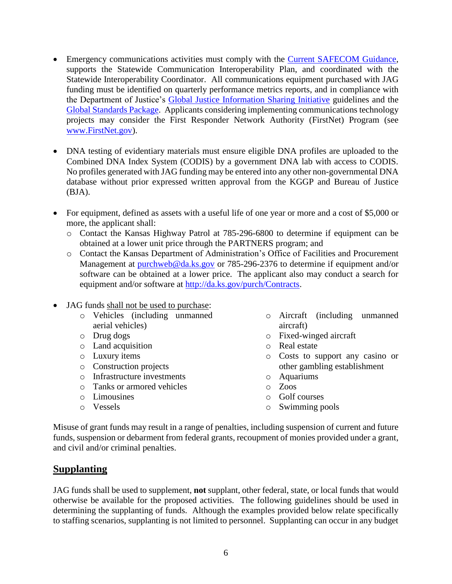- Emergency communications activities must comply with the [Current SAFECOM Guidance,](https://www.dhs.gov/publication/funding-documents) supports the Statewide Communication Interoperability Plan, and coordinated with the Statewide Interoperability Coordinator. All communications equipment purchased with JAG funding must be identified on quarterly performance metrics reports, and in compliance with the Department of Justice's [Global Justice Information Sharing Initiative](https://it.ojp.gov/global) guidelines and the [Global Standards Package.](https://www.it.ojp.gov/gsp_grantcondition) Applicants considering implementing communications technology projects may consider the First Responder Network Authority (FirstNet) Program (see [www.FirstNet.gov\)](http://www.firstnet.gov/).
- DNA testing of evidentiary materials must ensure eligible DNA profiles are uploaded to the Combined DNA Index System (CODIS) by a government DNA lab with access to CODIS. No profiles generated with JAG funding may be entered into any other non-governmental DNA database without prior expressed written approval from the KGGP and Bureau of Justice (BJA).
- For equipment, defined as assets with a useful life of one year or more and a cost of \$5,000 or more, the applicant shall:
	- o Contact the Kansas Highway Patrol at 785-296-6800 to determine if equipment can be obtained at a lower unit price through the PARTNERS program; and
	- o Contact the Kansas Department of Administration's Office of Facilities and Procurement Management at [purchweb@da.ks.gov](mailto:purchweb@da.ks.gov) or 785-296-2376 to determine if equipment and/or software can be obtained at a lower price. The applicant also may conduct a search for equipment and/or software at [http://da.ks.gov/purch/Contracts.](http://da.ks.gov/purch/Contracts)
- JAG funds shall not be used to purchase:
	- o Vehicles (including unmanned aerial vehicles)
	- o Drug dogs
	- o Land acquisition
	- o Luxury items
	- o Construction projects
	- o Infrastructure investments
	- o Tanks or armored vehicles
	- o Limousines
	- o Vessels
- o Aircraft (including unmanned aircraft)
- o Fixed-winged aircraft
- o Real estate
- o Costs to support any casino or other gambling establishment
- o Aquariums
- o Zoos
- o Golf courses
- o Swimming pools

Misuse of grant funds may result in a range of penalties, including suspension of current and future funds, suspension or debarment from federal grants, recoupment of monies provided under a grant, and civil and/or criminal penalties.

#### **Supplanting**

JAG funds shall be used to supplement, **not** supplant, other federal, state, or local funds that would otherwise be available for the proposed activities. The following guidelines should be used in determining the supplanting of funds. Although the examples provided below relate specifically to staffing scenarios, supplanting is not limited to personnel. Supplanting can occur in any budget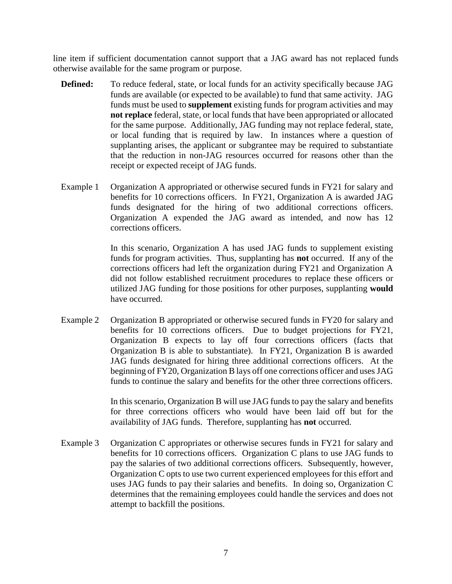line item if sufficient documentation cannot support that a JAG award has not replaced funds otherwise available for the same program or purpose.

- **Defined:** To reduce federal, state, or local funds for an activity specifically because JAG funds are available (or expected to be available) to fund that same activity. JAG funds must be used to **supplement** existing funds for program activities and may **not replace** federal, state, or local funds that have been appropriated or allocated for the same purpose. Additionally, JAG funding may not replace federal, state, or local funding that is required by law. In instances where a question of supplanting arises, the applicant or subgrantee may be required to substantiate that the reduction in non-JAG resources occurred for reasons other than the receipt or expected receipt of JAG funds.
- Example 1 Organization A appropriated or otherwise secured funds in FY21 for salary and benefits for 10 corrections officers. In FY21, Organization A is awarded JAG funds designated for the hiring of two additional corrections officers. Organization A expended the JAG award as intended, and now has 12 corrections officers.

In this scenario, Organization A has used JAG funds to supplement existing funds for program activities. Thus, supplanting has **not** occurred. If any of the corrections officers had left the organization during FY21 and Organization A did not follow established recruitment procedures to replace these officers or utilized JAG funding for those positions for other purposes, supplanting **would** have occurred.

Example 2 Organization B appropriated or otherwise secured funds in FY20 for salary and benefits for 10 corrections officers. Due to budget projections for FY21, Organization B expects to lay off four corrections officers (facts that Organization B is able to substantiate). In FY21, Organization B is awarded JAG funds designated for hiring three additional corrections officers. At the beginning of FY20, Organization B lays off one corrections officer and uses JAG funds to continue the salary and benefits for the other three corrections officers.

> In this scenario, Organization B will use JAG funds to pay the salary and benefits for three corrections officers who would have been laid off but for the availability of JAG funds. Therefore, supplanting has **not** occurred.

Example 3 Organization C appropriates or otherwise secures funds in FY21 for salary and benefits for 10 corrections officers. Organization C plans to use JAG funds to pay the salaries of two additional corrections officers. Subsequently, however, Organization C opts to use two current experienced employees for this effort and uses JAG funds to pay their salaries and benefits. In doing so, Organization C determines that the remaining employees could handle the services and does not attempt to backfill the positions.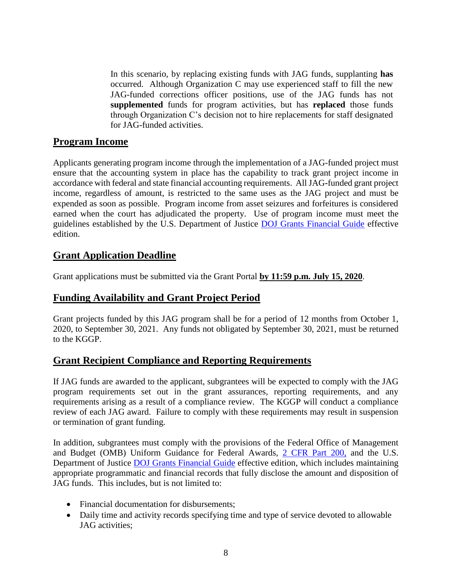In this scenario, by replacing existing funds with JAG funds, supplanting **has** occurred. Although Organization C may use experienced staff to fill the new JAG-funded corrections officer positions, use of the JAG funds has not **supplemented** funds for program activities, but has **replaced** those funds through Organization C's decision not to hire replacements for staff designated for JAG-funded activities.

#### **Program Income**

Applicants generating program income through the implementation of a JAG-funded project must ensure that the accounting system in place has the capability to track grant project income in accordance with federal and state financial accounting requirements. All JAG**-**funded grant project income, regardless of amount, is restricted to the same uses as the JAG project and must be expended as soon as possible. Program income from asset seizures and forfeitures is considered earned when the court has adjudicated the property. Use of program income must meet the guidelines established by the U.S. Department of Justice [DOJ Grants Financial Guide](http://ojp.gov/financialguide/DOJ/index.htm) effective edition.

## **Grant Application Deadline**

Grant applications must be submitted via the Grant Portal **by 11:59 p.m. July 15, 2020**.

#### **Funding Availability and Grant Project Period**

Grant projects funded by this JAG program shall be for a period of 12 months from October 1, 2020, to September 30, 2021. Any funds not obligated by September 30, 2021, must be returned to the KGGP.

## **Grant Recipient Compliance and Reporting Requirements**

If JAG funds are awarded to the applicant, subgrantees will be expected to comply with the JAG program requirements set out in the grant assurances, reporting requirements, and any requirements arising as a result of a compliance review. The KGGP will conduct a compliance review of each JAG award. Failure to comply with these requirements may result in suspension or termination of grant funding.

In addition, subgrantees must comply with the provisions of the Federal Office of Management and Budget (OMB) Uniform Guidance for Federal Awards, [2 CFR Part 200,](http://www.ecfr.gov/cgi-bin/text-idx?SID=2c6d1c9f8de1f9619110b4599d84a234&mc=true&node=pt2.1.200&rgn=div5#_top) and the U.S. Department of Justice [DOJ Grants Financial Guide](http://ojp.gov/financialguide/DOJ/index.htm) effective edition, which includes maintaining appropriate programmatic and financial records that fully disclose the amount and disposition of JAG funds. This includes, but is not limited to:

- Financial documentation for disbursements:
- Daily time and activity records specifying time and type of service devoted to allowable JAG activities;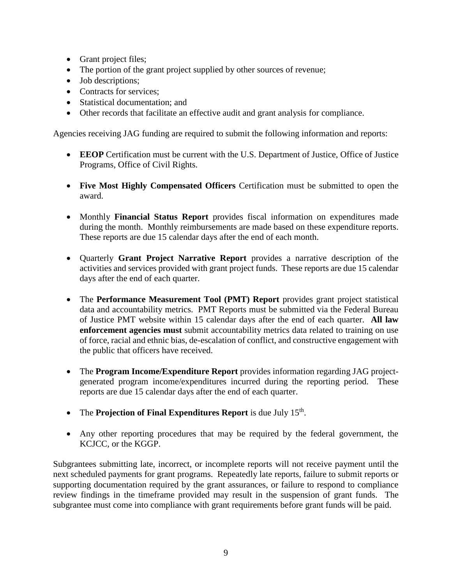- Grant project files;
- The portion of the grant project supplied by other sources of revenue;
- Job descriptions;
- Contracts for services;
- Statistical documentation; and
- Other records that facilitate an effective audit and grant analysis for compliance.

Agencies receiving JAG funding are required to submit the following information and reports:

- **EEOP** Certification must be current with the U.S. Department of Justice, Office of Justice Programs, Office of Civil Rights.
- **Five Most Highly Compensated Officers** Certification must be submitted to open the award.
- Monthly **Financial Status Report** provides fiscal information on expenditures made during the month. Monthly reimbursements are made based on these expenditure reports. These reports are due 15 calendar days after the end of each month.
- Quarterly **Grant Project Narrative Report** provides a narrative description of the activities and services provided with grant project funds. These reports are due 15 calendar days after the end of each quarter.
- The **Performance Measurement Tool (PMT) Report** provides grant project statistical data and accountability metrics. PMT Reports must be submitted via the Federal Bureau of Justice PMT website within 15 calendar days after the end of each quarter. **All law enforcement agencies must** submit accountability metrics data related to training on use of force, racial and ethnic bias, de-escalation of conflict, and constructive engagement with the public that officers have received.
- The **Program Income/Expenditure Report** provides information regarding JAG projectgenerated program income/expenditures incurred during the reporting period. These reports are due 15 calendar days after the end of each quarter.
- The **Projection of Final Expenditures Report** is due July 15<sup>th</sup>.
- Any other reporting procedures that may be required by the federal government, the KCJCC, or the KGGP.

Subgrantees submitting late, incorrect, or incomplete reports will not receive payment until the next scheduled payments for grant programs. Repeatedly late reports, failure to submit reports or supporting documentation required by the grant assurances, or failure to respond to compliance review findings in the timeframe provided may result in the suspension of grant funds. The subgrantee must come into compliance with grant requirements before grant funds will be paid.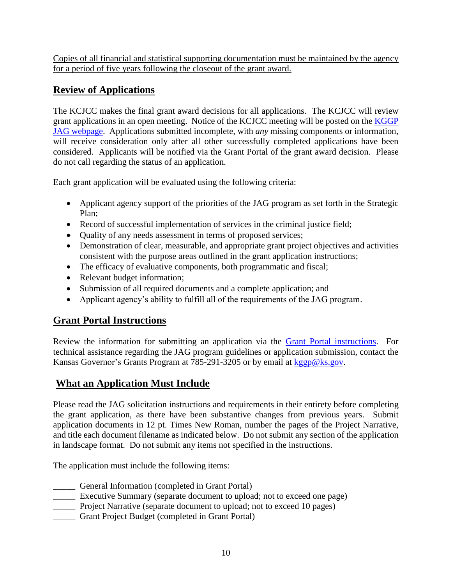Copies of all financial and statistical supporting documentation must be maintained by the agency for a period of five years following the closeout of the grant award.

## **Review of Applications**

The KCJCC makes the final grant award decisions for all applications. The KCJCC will review grant applications in an open meeting. Notice of the KCJCC meeting will be posted on the [KGGP](http://www.grants.ks.gov/opportunities/edward-j-byrne-memorial-justice-assistance-grant-(jag))  [JAG webpage.](http://www.grants.ks.gov/opportunities/edward-j-byrne-memorial-justice-assistance-grant-(jag)) Applications submitted incomplete, with *any* missing components or information, will receive consideration only after all other successfully completed applications have been considered.Applicants will be notified via the Grant Portal of the grant award decision. Please do not call regarding the status of an application.

Each grant application will be evaluated using the following criteria:

- Applicant agency support of the priorities of the JAG program as set forth in the Strategic Plan;
- Record of successful implementation of services in the criminal justice field;
- Quality of any needs assessment in terms of proposed services;
- Demonstration of clear, measurable, and appropriate grant project objectives and activities consistent with the purpose areas outlined in the grant application instructions;
- The efficacy of evaluative components, both programmatic and fiscal;
- Relevant budget information;
- Submission of all required documents and a complete application; and
- Applicant agency's ability to fulfill all of the requirements of the JAG program.

## **Grant Portal Instructions**

Review the information for submitting an application via the [Grant Portal instructions.](http://grants.ks.gov/docs/default-source/how-to-guides/application-portal-instructions.pdf?sfvrsn=4) For technical assistance regarding the JAG program guidelines or application submission, contact the Kansas Governor's Grants Program at 785-291-3205 or by email at [kggp@ks.gov.](mailto:kggp@ks.gov)

## **What an Application Must Include**

Please read the JAG solicitation instructions and requirements in their entirety before completing the grant application, as there have been substantive changes from previous years. Submit application documents in 12 pt. Times New Roman, number the pages of the Project Narrative, and title each document filename as indicated below. Do not submit any section of the application in landscape format. Do not submit any items not specified in the instructions.

The application must include the following items:

- \_\_\_\_\_ General Information (completed in Grant Portal)
- Executive Summary (separate document to upload; not to exceed one page)
- **EXECUTE:** Project Narrative (separate document to upload; not to exceed 10 pages)
- \_\_\_\_\_ Grant Project Budget (completed in Grant Portal)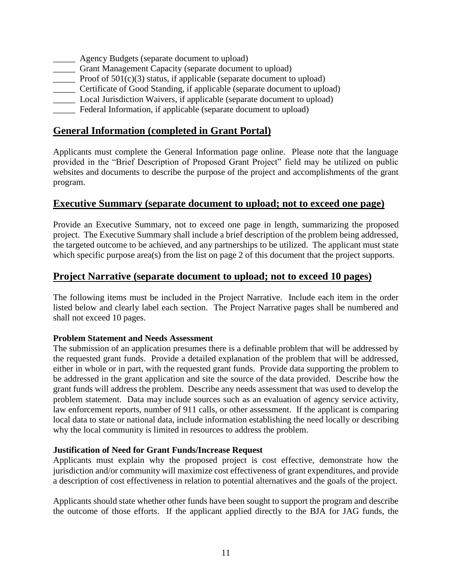- **EXECUTE:** Agency Budgets (separate document to upload)
- \_\_\_\_\_ Grant Management Capacity (separate document to upload)
- The Proof of 501(c)(3) status, if applicable (separate document to upload)
- \_\_\_\_\_ Certificate of Good Standing, if applicable (separate document to upload)
- \_\_\_\_\_ Local Jurisdiction Waivers, if applicable (separate document to upload)
- \_\_\_\_\_ Federal Information, if applicable (separate document to upload)

#### **General Information (completed in Grant Portal)**

Applicants must complete the General Information page online. Please note that the language provided in the "Brief Description of Proposed Grant Project" field may be utilized on public websites and documents to describe the purpose of the project and accomplishments of the grant program.

#### **Executive Summary (separate document to upload; not to exceed one page)**

Provide an Executive Summary, not to exceed one page in length, summarizing the proposed project. The Executive Summary shall include a brief description of the problem being addressed, the targeted outcome to be achieved, and any partnerships to be utilized. The applicant must state which specific purpose area(s) from the list on page 2 of this document that the project supports.

#### **Project Narrative (separate document to upload; not to exceed 10 pages)**

The following items must be included in the Project Narrative. Include each item in the order listed below and clearly label each section. The Project Narrative pages shall be numbered and shall not exceed 10 pages.

#### **Problem Statement and Needs Assessment**

The submission of an application presumes there is a definable problem that will be addressed by the requested grant funds. Provide a detailed explanation of the problem that will be addressed, either in whole or in part, with the requested grant funds. Provide data supporting the problem to be addressed in the grant application and site the source of the data provided. Describe how the grant funds will address the problem. Describe any needs assessment that was used to develop the problem statement. Data may include sources such as an evaluation of agency service activity, law enforcement reports, number of 911 calls, or other assessment. If the applicant is comparing local data to state or national data, include information establishing the need locally or describing why the local community is limited in resources to address the problem.

#### **Justification of Need for Grant Funds/Increase Request**

Applicants must explain why the proposed project is cost effective, demonstrate how the jurisdiction and/or community will maximize cost effectiveness of grant expenditures, and provide a description of cost effectiveness in relation to potential alternatives and the goals of the project.

Applicants should state whether other funds have been sought to support the program and describe the outcome of those efforts. If the applicant applied directly to the BJA for JAG funds, the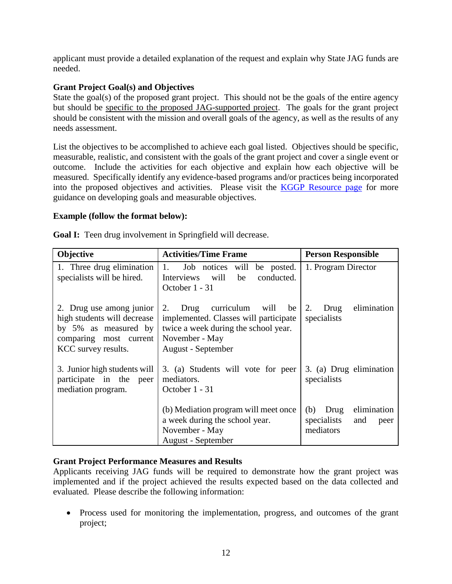applicant must provide a detailed explanation of the request and explain why State JAG funds are needed.

#### **Grant Project Goal(s) and Objectives**

State the goal(s) of the proposed grant project. This should not be the goals of the entire agency but should be specific to the proposed JAG-supported project. The goals for the grant project should be consistent with the mission and overall goals of the agency, as well as the results of any needs assessment.

List the objectives to be accomplished to achieve each goal listed. Objectives should be specific, measurable, realistic, and consistent with the goals of the grant project and cover a single event or outcome. Include the activities for each objective and explain how each objective will be measured. Specifically identify any evidence-based programs and/or practices being incorporated into the proposed objectives and activities. Please visit the [KGGP Resource page](http://www.grants.ks.gov/resources/getting-started) for more guidance on developing goals and measurable objectives.

#### **Example (follow the format below):**

**Goal I:** Teen drug involvement in Springfield will decrease.

| Objective                                                                                                                        | <b>Activities/Time Frame</b>                                                                                                                                 | <b>Person Responsible</b>                                             |  |
|----------------------------------------------------------------------------------------------------------------------------------|--------------------------------------------------------------------------------------------------------------------------------------------------------------|-----------------------------------------------------------------------|--|
| 1. Three drug elimination<br>specialists will be hired.                                                                          | 1.<br>Job notices<br>will<br>be posted.<br>Interviews<br>will<br>be<br>conducted.<br>October 1 - 31                                                          | 1. Program Director                                                   |  |
| 2. Drug use among junior<br>high students will decrease<br>by 5% as measured by<br>comparing most current<br>KCC survey results. | curriculum will<br>be<br>2.<br>Drug<br>implemented. Classes will participate<br>twice a week during the school year.<br>November - May<br>August - September | elimination<br>2.<br>Drug<br>specialists                              |  |
| 3. Junior high students will<br>participate in the peer<br>mediation program.                                                    | 3. (a) Students will vote for peer<br>mediators.<br>October 1 - 31                                                                                           | 3. (a) Drug elimination<br>specialists                                |  |
|                                                                                                                                  | (b) Mediation program will meet once<br>a week during the school year.<br>November - May<br>August - September                                               | elimination<br>(b)<br>Drug<br>specialists<br>and<br>peer<br>mediators |  |

#### **Grant Project Performance Measures and Results**

Applicants receiving JAG funds will be required to demonstrate how the grant project was implemented and if the project achieved the results expected based on the data collected and evaluated. Please describe the following information:

• Process used for monitoring the implementation, progress, and outcomes of the grant project;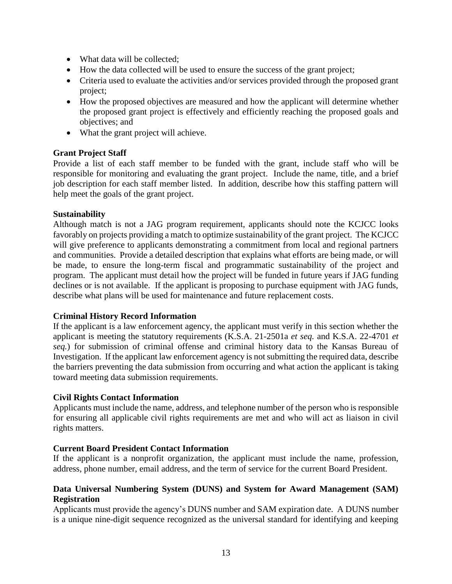- What data will be collected:
- How the data collected will be used to ensure the success of the grant project;
- Criteria used to evaluate the activities and/or services provided through the proposed grant project;
- How the proposed objectives are measured and how the applicant will determine whether the proposed grant project is effectively and efficiently reaching the proposed goals and objectives; and
- What the grant project will achieve.

#### **Grant Project Staff**

Provide a list of each staff member to be funded with the grant, include staff who will be responsible for monitoring and evaluating the grant project. Include the name, title, and a brief job description for each staff member listed. In addition, describe how this staffing pattern will help meet the goals of the grant project.

#### **Sustainability**

Although match is not a JAG program requirement, applicants should note the KCJCC looks favorably on projects providing a match to optimize sustainability of the grant project. The KCJCC will give preference to applicants demonstrating a commitment from local and regional partners and communities. Provide a detailed description that explains what efforts are being made, or will be made, to ensure the long-term fiscal and programmatic sustainability of the project and program. The applicant must detail how the project will be funded in future years if JAG funding declines or is not available. If the applicant is proposing to purchase equipment with JAG funds, describe what plans will be used for maintenance and future replacement costs.

#### **Criminal History Record Information**

If the applicant is a law enforcement agency, the applicant must verify in this section whether the applicant is meeting the statutory requirements (K.S.A. 21-2501a *et seq.* and K.S.A. 22-4701 *et seq.*) for submission of criminal offense and criminal history data to the Kansas Bureau of Investigation. If the applicant law enforcement agency is not submitting the required data, describe the barriers preventing the data submission from occurring and what action the applicant is taking toward meeting data submission requirements.

#### **Civil Rights Contact Information**

Applicants must include the name, address, and telephone number of the person who is responsible for ensuring all applicable civil rights requirements are met and who will act as liaison in civil rights matters.

#### **Current Board President Contact Information**

If the applicant is a nonprofit organization, the applicant must include the name, profession, address, phone number, email address, and the term of service for the current Board President.

#### **Data Universal Numbering System (DUNS) and System for Award Management (SAM) Registration**

Applicants must provide the agency's DUNS number and SAM expiration date. A DUNS number is a unique nine-digit sequence recognized as the universal standard for identifying and keeping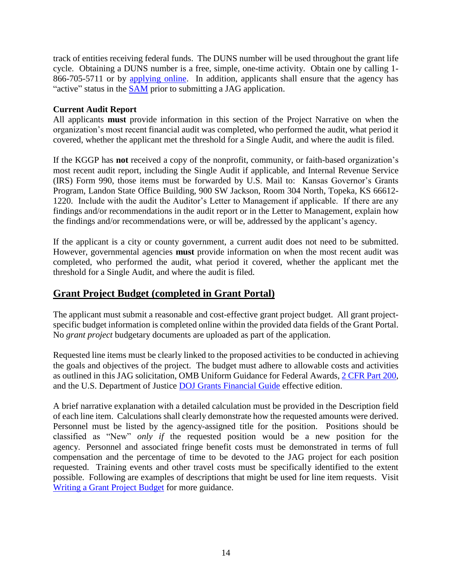track of entities receiving federal funds. The DUNS number will be used throughout the grant life cycle. Obtaining a DUNS number is a free, simple, one-time activity. Obtain one by calling 1- 866-705-5711 or by [applying online.](http://www.dnb.com/us/) In addition, applicants shall ensure that the agency has "active" status in the [SAM](http://www.sam.gov/) prior to submitting a JAG application.

#### **Current Audit Report**

All applicants **must** provide information in this section of the Project Narrative on when the organization's most recent financial audit was completed, who performed the audit, what period it covered, whether the applicant met the threshold for a Single Audit, and where the audit is filed.

If the KGGP has **not** received a copy of the nonprofit, community, or faith-based organization's most recent audit report, including the Single Audit if applicable, and Internal Revenue Service (IRS) Form 990, those items must be forwarded by U.S. Mail to:Kansas Governor's Grants Program, Landon State Office Building, 900 SW Jackson, Room 304 North, Topeka, KS 66612- 1220. Include with the audit the Auditor's Letter to Management if applicable. If there are any findings and/or recommendations in the audit report or in the Letter to Management, explain how the findings and/or recommendations were, or will be, addressed by the applicant's agency.

If the applicant is a city or county government, a current audit does not need to be submitted. However, governmental agencies **must** provide information on when the most recent audit was completed, who performed the audit, what period it covered, whether the applicant met the threshold for a Single Audit, and where the audit is filed.

#### **Grant Project Budget (completed in Grant Portal)**

The applicant must submit a reasonable and cost-effective grant project budget. All grant projectspecific budget information is completed online within the provided data fields of the Grant Portal. No *grant project* budgetary documents are uploaded as part of the application.

Requested line items must be clearly linked to the proposed activities to be conducted in achieving the goals and objectives of the project. The budget must adhere to allowable costs and activities as outlined in this JAG solicitation, OMB Uniform Guidance for Federal Awards, [2 CFR Part 200,](http://www.ecfr.gov/cgi-bin/text-idx?SID=2c6d1c9f8de1f9619110b4599d84a234&mc=true&node=pt2.1.200&rgn=div5#_top) and the U.S. Department of Justice [DOJ Grants Financial Guide](http://ojp.gov/financialguide/DOJ/index.htm) effective edition.

A brief narrative explanation with a detailed calculation must be provided in the Description field of each line item. Calculations shall clearly demonstrate how the requested amounts were derived. Personnel must be listed by the agency-assigned title for the position. Positions should be classified as "New" *only if* the requested position would be a new position for the agency. Personnel and associated fringe benefit costs must be demonstrated in terms of full compensation and the percentage of time to be devoted to the JAG project for each position requested. Training events and other travel costs must be specifically identified to the extent possible. Following are examples of descriptions that might be used for line item requests. Visit [Writing a Grant Project Budget](https://grants.ks.gov/docs/default-source/how-to-guides/writing-a-grant-project-budget-guide.pdf?sfvrsn=2d1f541a_4) for more guidance.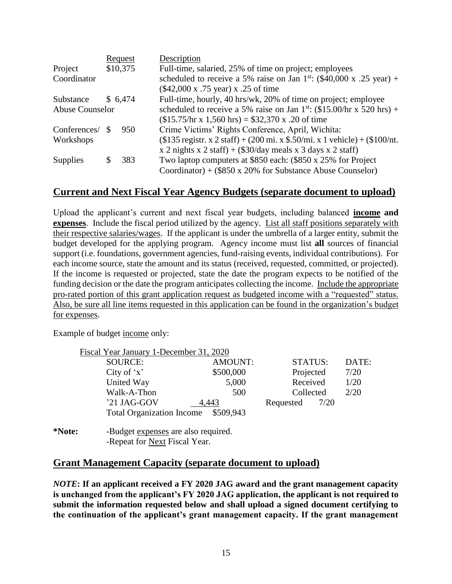|                        |          | Request  | Description                                                                              |
|------------------------|----------|----------|------------------------------------------------------------------------------------------|
| Project                |          | \$10,375 | Full-time, salaried, 25% of time on project; employees                                   |
| Coordinator            |          |          | scheduled to receive a 5% raise on Jan 1 <sup>st</sup> : (\$40,000 x .25 year) +         |
|                        |          |          | (\$42,000 x .75 year) x .25 of time                                                      |
| Substance              |          | \$ 6,474 | Full-time, hourly, 40 hrs/wk, 20% of time on project; employee                           |
| <b>Abuse Counselor</b> |          |          | scheduled to receive a 5% raise on Jan 1 <sup>st</sup> : $(\$15.00/hr \times 520 hrs)$ + |
|                        |          |          | $($15.75/hr \times 1,560 hrs) = $32,370 \times .20 \text{ of time}$                      |
| Conferences/           | <b>S</b> | 950      | Crime Victims' Rights Conference, April, Wichita:                                        |
| Workshops              |          |          | $($135$ registr. x 2 staff) + (200 mi. x \$.50/mi. x 1 vehicle) + (\$100/nt.             |
|                        |          |          | x 2 nights x 2 staff) + $(\$30/day$ meals x 3 days x 2 staff)                            |
| <b>Supplies</b>        |          | 383      | Two laptop computers at \$850 each: (\$850 x 25% for Project                             |
|                        |          |          | Coordinator) + $(\$850 \times 20\%$ for Substance Abuse Counselor)                       |

## **Current and Next Fiscal Year Agency Budgets (separate document to upload)**

Upload the applicant's current and next fiscal year budgets, including balanced **income and expenses**. Include the fiscal period utilized by the agency. List all staff positions separately with their respective salaries/wages. If the applicant is under the umbrella of a larger entity, submit the budget developed for the applying program. Agency income must list **all** sources of financial support (i.e. foundations, government agencies, fund-raising events, individual contributions). For each income source, state the amount and its status (received, requested, committed, or projected). If the income is requested or projected, state the date the program expects to be notified of the funding decision or the date the program anticipates collecting the income. Include the appropriate pro-rated portion of this grant application request as budgeted income with a "requested" status. Also, be sure all line items requested in this application can be found in the organization's budget for expenses.

Example of budget income only:

| Fiscal Year January 1-December 31, 2020 |                |                |       |
|-----------------------------------------|----------------|----------------|-------|
| SOURCE:                                 | <b>AMOUNT:</b> | <b>STATUS:</b> | DATE: |
| City of $x'$                            | \$500,000      | Projected      | 7/20  |
| United Way                              | 5,000          | Received       | 1/20  |
| Walk-A-Thon                             | 500            | Collected      | 2/20  |
| '21 JAG-GOV                             | 4.443          | Requested      | 7/20  |
| <b>Total Organization Income</b>        | \$509,943      |                |       |
|                                         |                |                |       |

**<sup>\*</sup>Note:** -Budget expenses are also required. -Repeat for Next Fiscal Year.

#### **Grant Management Capacity (separate document to upload)**

*NOTE***: If an applicant received a FY 2020 JAG award and the grant management capacity is unchanged from the applicant's FY 2020 JAG application, the applicant is not required to submit the information requested below and shall upload a signed document certifying to the continuation of the applicant's grant management capacity. If the grant management**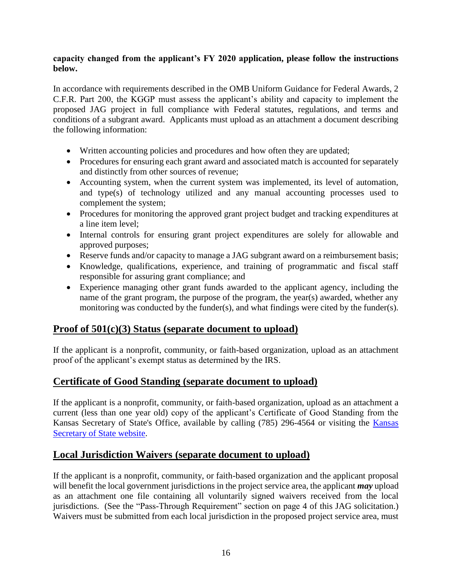#### **capacity changed from the applicant's FY 2020 application, please follow the instructions below.**

In accordance with requirements described in the OMB Uniform Guidance for Federal Awards, 2 C.F.R. Part 200, the KGGP must assess the applicant's ability and capacity to implement the proposed JAG project in full compliance with Federal statutes, regulations, and terms and conditions of a subgrant award. Applicants must upload as an attachment a document describing the following information:

- Written accounting policies and procedures and how often they are updated;
- Procedures for ensuring each grant award and associated match is accounted for separately and distinctly from other sources of revenue;
- Accounting system, when the current system was implemented, its level of automation, and type(s) of technology utilized and any manual accounting processes used to complement the system;
- Procedures for monitoring the approved grant project budget and tracking expenditures at a line item level;
- Internal controls for ensuring grant project expenditures are solely for allowable and approved purposes;
- Reserve funds and/or capacity to manage a JAG subgrant award on a reimbursement basis;
- Knowledge, qualifications, experience, and training of programmatic and fiscal staff responsible for assuring grant compliance; and
- Experience managing other grant funds awarded to the applicant agency, including the name of the grant program, the purpose of the program, the year(s) awarded, whether any monitoring was conducted by the funder(s), and what findings were cited by the funder(s).

#### **Proof of 501(c)(3) Status (separate document to upload)**

If the applicant is a nonprofit, community, or faith-based organization, upload as an attachment proof of the applicant's exempt status as determined by the IRS.

#### **Certificate of Good Standing (separate document to upload)**

If the applicant is a nonprofit, community, or faith-based organization, upload as an attachment a current (less than one year old) copy of the applicant's Certificate of Good Standing from the Kansas Secretary of State's Office, available by calling (785) 296-4564 or visiting the [Kansas](https://sos.kansas.gov/business/)  [Secretary of State website.](https://sos.kansas.gov/business/)

#### **Local Jurisdiction Waivers (separate document to upload)**

If the applicant is a nonprofit, community, or faith-based organization and the applicant proposal will benefit the local government jurisdictions in the project service area, the applicant *may* upload as an attachment one file containing all voluntarily signed waivers received from the local jurisdictions. (See the "Pass-Through Requirement" section on page 4 of this JAG solicitation.) Waivers must be submitted from each local jurisdiction in the proposed project service area, must